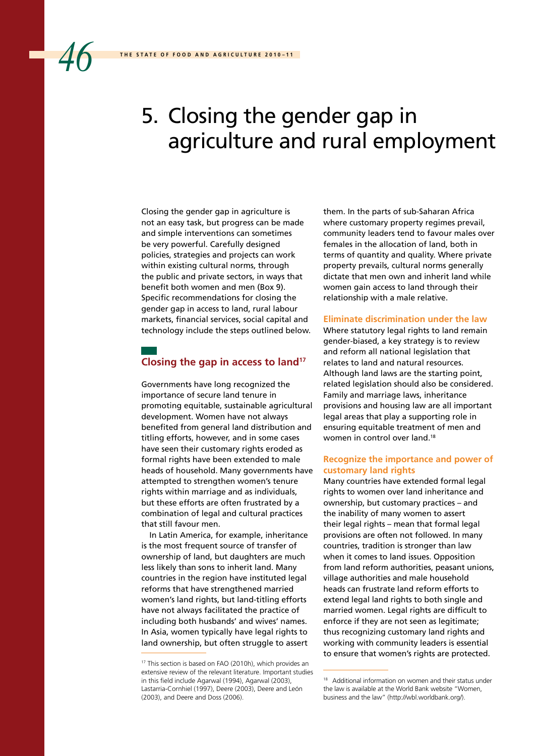# 5. Closing the gender gap in agriculture and rural employment

Closing the gender gap in agriculture is not an easy task, but progress can be made and simple interventions can sometimes be very powerful. Carefully designed policies, strategies and projects can work within existing cultural norms, through the public and private sectors, in ways that benefit both women and men (Box 9). Specific recommendations for closing the gender gap in access to land, rural labour markets, financial services, social capital and technology include the steps outlined below.

# **Closing the gap in access to land17**

Governments have long recognized the importance of secure land tenure in promoting equitable, sustainable agricultural development. Women have not always benefited from general land distribution and titling efforts, however, and in some cases have seen their customary rights eroded as formal rights have been extended to male heads of household. Many governments have attempted to strengthen women's tenure rights within marriage and as individuals, but these efforts are often frustrated by a combination of legal and cultural practices that still favour men.

In Latin America, for example, inheritance is the most frequent source of transfer of ownership of land, but daughters are much less likely than sons to inherit land. Many countries in the region have instituted legal reforms that have strengthened married women's land rights, but land-titling efforts have not always facilitated the practice of including both husbands' and wives' names. In Asia, women typically have legal rights to land ownership, but often struggle to assert

them. In the parts of sub-Saharan Africa where customary property regimes prevail, community leaders tend to favour males over females in the allocation of land, both in terms of quantity and quality. Where private property prevails, cultural norms generally dictate that men own and inherit land while women gain access to land through their relationship with a male relative.

#### **Eliminate discrimination under the law**

Where statutory legal rights to land remain gender-biased, a key strategy is to review and reform all national legislation that relates to land and natural resources. Although land laws are the starting point, related legislation should also be considered. Family and marriage laws, inheritance provisions and housing law are all important legal areas that play a supporting role in ensuring equitable treatment of men and women in control over land.18

# **Recognize the importance and power of customary land rights**

Many countries have extended formal legal rights to women over land inheritance and ownership, but customary practices – and the inability of many women to assert their legal rights – mean that formal legal provisions are often not followed. In many countries, tradition is stronger than law when it comes to land issues. Opposition from land reform authorities, peasant unions, village authorities and male household heads can frustrate land reform efforts to extend legal land rights to both single and married women. Legal rights are difficult to enforce if they are not seen as legitimate; thus recognizing customary land rights and working with community leaders is essential to ensure that women's rights are protected.

<sup>17</sup> This section is based on FAO (2010h), which provides an extensive review of the relevant literature. Important studies in this field include Agarwal (1994), Agarwal (2003), Lastarria-Cornhiel (1997), Deere (2003), Deere and León (2003), and Deere and Doss (2006).

<sup>18</sup> Additional information on women and their status under the law is available at the World Bank website "Women, business and the law" (http://wbl.worldbank.org/).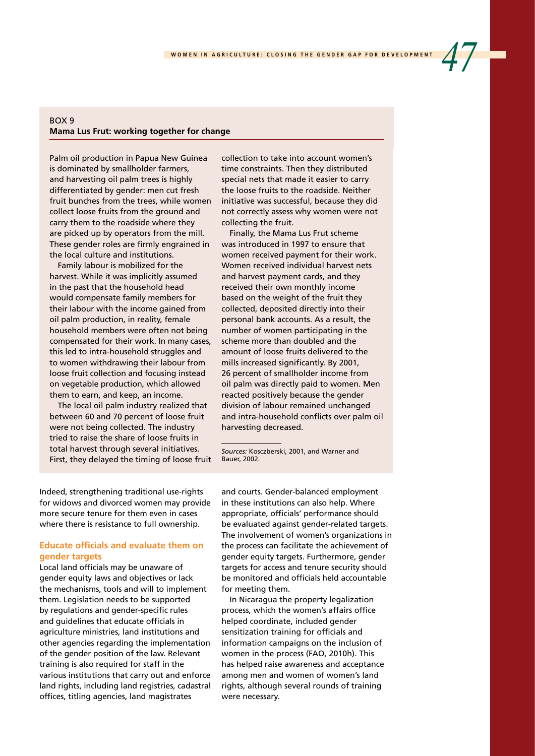# $ROX$  9 **Mama Lus Frut: working together for change**

Palm oil production in Papua New Guinea is dominated by smallholder farmers, and harvesting oil palm trees is highly differentiated by gender: men cut fresh fruit bunches from the trees, while women collect loose fruits from the ground and carry them to the roadside where they are picked up by operators from the mill. These gender roles are firmly engrained in the local culture and institutions.

Family labour is mobilized for the harvest. While it was implicitly assumed in the past that the household head would compensate family members for their labour with the income gained from oil palm production, in reality, female household members were often not being compensated for their work. In many cases, this led to intra-household struggles and to women withdrawing their labour from loose fruit collection and focusing instead on vegetable production, which allowed them to earn, and keep, an income.

The local oil palm industry realized that between 60 and 70 percent of loose fruit were not being collected. The industry tried to raise the share of loose fruits in total harvest through several initiatives. First, they delayed the timing of loose fruit collection to take into account women's time constraints. Then they distributed special nets that made it easier to carry the loose fruits to the roadside. Neither initiative was successful, because they did not correctly assess why women were not collecting the fruit.

Finally, the Mama Lus Frut scheme was introduced in 1997 to ensure that women received payment for their work. Women received individual harvest nets and harvest payment cards, and they received their own monthly income based on the weight of the fruit they collected, deposited directly into their personal bank accounts. As a result, the number of women participating in the scheme more than doubled and the amount of loose fruits delivered to the mills increased significantly. By 2001, 26 percent of smallholder income from oil palm was directly paid to women. Men reacted positively because the gender division of labour remained unchanged and intra-household conflicts over palm oil harvesting decreased.

*Sources:* Kosczberski, 2001, and Warner and Bauer, 2002.

Indeed, strengthening traditional use-rights for widows and divorced women may provide more secure tenure for them even in cases where there is resistance to full ownership.

# **Educate officials and evaluate them on gender targets**

Local land officials may be unaware of gender equity laws and objectives or lack the mechanisms, tools and will to implement them. Legislation needs to be supported by regulations and gender-specific rules and guidelines that educate officials in agriculture ministries, land institutions and other agencies regarding the implementation of the gender position of the law. Relevant training is also required for staff in the various institutions that carry out and enforce land rights, including land registries, cadastral offices, titling agencies, land magistrates

and courts. Gender-balanced employment in these institutions can also help. Where appropriate, officials' performance should be evaluated against gender-related targets. The involvement of women's organizations in the process can facilitate the achievement of gender equity targets. Furthermore, gender targets for access and tenure security should be monitored and officials held accountable for meeting them.

In Nicaragua the property legalization process, which the women's affairs office helped coordinate, included gender sensitization training for officials and information campaigns on the inclusion of women in the process (FAO, 2010h). This has helped raise awareness and acceptance among men and women of women's land rights, although several rounds of training were necessary.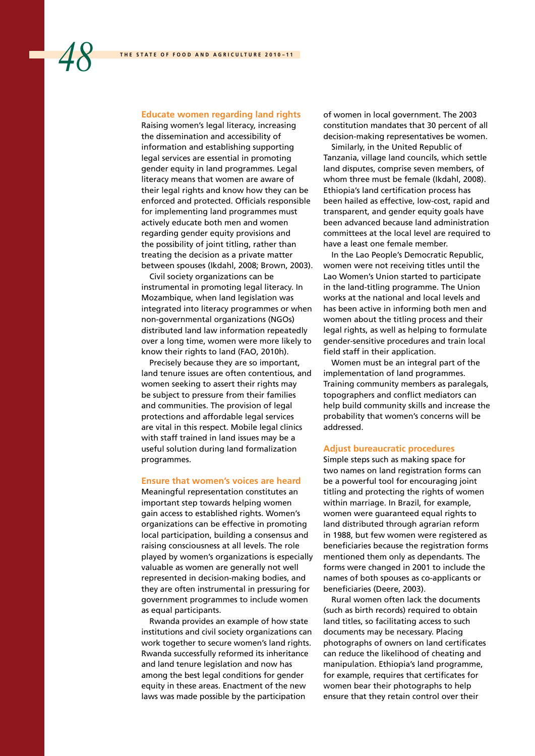#### **Educate women regarding land rights**

Raising women's legal literacy, increasing the dissemination and accessibility of information and establishing supporting legal services are essential in promoting gender equity in land programmes. Legal literacy means that women are aware of their legal rights and know how they can be enforced and protected. Officials responsible for implementing land programmes must actively educate both men and women regarding gender equity provisions and the possibility of joint titling, rather than treating the decision as a private matter between spouses (Ikdahl, 2008; Brown, 2003).

Civil society organizations can be instrumental in promoting legal literacy. In Mozambique, when land legislation was integrated into literacy programmes or when non-governmental organizations (NGOs) distributed land law information repeatedly over a long time, women were more likely to know their rights to land (FAO, 2010h).

Precisely because they are so important, land tenure issues are often contentious, and women seeking to assert their rights may be subject to pressure from their families and communities. The provision of legal protections and affordable legal services are vital in this respect. Mobile legal clinics with staff trained in land issues may be a useful solution during land formalization programmes.

#### **Ensure that women's voices are heard**

Meaningful representation constitutes an important step towards helping women gain access to established rights. Women's organizations can be effective in promoting local participation, building a consensus and raising consciousness at all levels. The role played by women's organizations is especially valuable as women are generally not well represented in decision-making bodies, and they are often instrumental in pressuring for government programmes to include women as equal participants.

Rwanda provides an example of how state institutions and civil society organizations can work together to secure women's land rights. Rwanda successfully reformed its inheritance and land tenure legislation and now has among the best legal conditions for gender equity in these areas. Enactment of the new laws was made possible by the participation

of women in local government. The 2003 constitution mandates that 30 percent of all decision-making representatives be women.

Similarly, in the United Republic of Tanzania, village land councils, which settle land disputes, comprise seven members, of whom three must be female (Ikdahl, 2008). Ethiopia's land certification process has been hailed as effective, low-cost, rapid and transparent, and gender equity goals have been advanced because land administration committees at the local level are required to have a least one female member.

In the Lao People's Democratic Republic, women were not receiving titles until the Lao Women's Union started to participate in the land-titling programme. The Union works at the national and local levels and has been active in informing both men and women about the titling process and their legal rights, as well as helping to formulate gender-sensitive procedures and train local field staff in their application.

Women must be an integral part of the implementation of land programmes. Training community members as paralegals, topographers and conflict mediators can help build community skills and increase the probability that women's concerns will be addressed.

## **Adjust bureaucratic procedures**

Simple steps such as making space for two names on land registration forms can be a powerful tool for encouraging joint titling and protecting the rights of women within marriage. In Brazil, for example, women were guaranteed equal rights to land distributed through agrarian reform in 1988, but few women were registered as beneficiaries because the registration forms mentioned them only as dependants. The forms were changed in 2001 to include the names of both spouses as co-applicants or beneficiaries (Deere, 2003).

Rural women often lack the documents (such as birth records) required to obtain land titles, so facilitating access to such documents may be necessary. Placing photographs of owners on land certificates can reduce the likelihood of cheating and manipulation. Ethiopia's land programme, for example, requires that certificates for women bear their photographs to help ensure that they retain control over their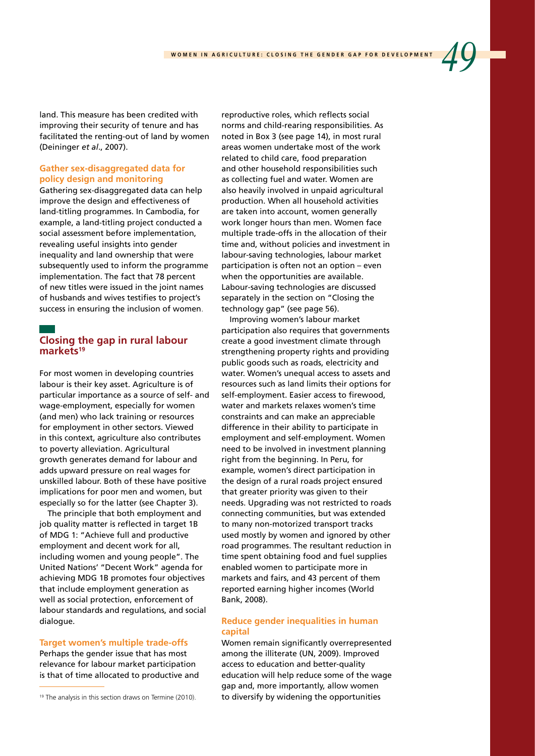land. This measure has been credited with improving their security of tenure and has facilitated the renting-out of land by women (Deininger *et al*., 2007).

# **Gather sex-disaggregated data for policy design and monitoring**

Gathering sex-disaggregated data can help improve the design and effectiveness of land-titling programmes. In Cambodia, for example, a land-titling project conducted a social assessment before implementation, revealing useful insights into gender inequality and land ownership that were subsequently used to inform the programme implementation. The fact that 78 percent of new titles were issued in the joint names of husbands and wives testifies to project's success in ensuring the inclusion of women.

# **Closing the gap in rural labour**  markets<sup>19</sup>

For most women in developing countries labour is their key asset. Agriculture is of particular importance as a source of self- and wage-employment, especially for women (and men) who lack training or resources for employment in other sectors. Viewed in this context, agriculture also contributes to poverty alleviation. Agricultural growth generates demand for labour and adds upward pressure on real wages for unskilled labour. Both of these have positive implications for poor men and women, but especially so for the latter (see Chapter 3).

The principle that both employment and job quality matter is reflected in target 1B of MDG 1: "Achieve full and productive employment and decent work for all, including women and young people". The United Nations' "Decent Work" agenda for achieving MDG 1B promotes four objectives that include employment generation as well as social protection, enforcement of labour standards and regulations, and social dialogue.

#### **Target women's multiple trade-offs**

Perhaps the gender issue that has most relevance for labour market participation is that of time allocated to productive and reproductive roles, which reflects social norms and child-rearing responsibilities. As noted in Box 3 (see page 14), in most rural areas women undertake most of the work related to child care, food preparation and other household responsibilities such as collecting fuel and water. Women are also heavily involved in unpaid agricultural production. When all household activities are taken into account, women generally work longer hours than men. Women face multiple trade-offs in the allocation of their time and, without policies and investment in labour-saving technologies, labour market participation is often not an option – even when the opportunities are available. Labour-saving technologies are discussed separately in the section on "Closing the technology gap" (see page 56).

Improving women's labour market participation also requires that governments create a good investment climate through strengthening property rights and providing public goods such as roads, electricity and water. Women's unequal access to assets and resources such as land limits their options for self-employment. Easier access to firewood, water and markets relaxes women's time constraints and can make an appreciable difference in their ability to participate in employment and self-employment. Women need to be involved in investment planning right from the beginning. In Peru, for example, women's direct participation in the design of a rural roads project ensured that greater priority was given to their needs. Upgrading was not restricted to roads connecting communities, but was extended to many non-motorized transport tracks used mostly by women and ignored by other road programmes. The resultant reduction in time spent obtaining food and fuel supplies enabled women to participate more in markets and fairs, and 43 percent of them reported earning higher incomes (World Bank, 2008).

# **Reduce gender inequalities in human capital**

Women remain significantly overrepresented among the illiterate (UN, 2009). Improved access to education and better-quality education will help reduce some of the wage gap and, more importantly, allow women to diversify by widening the opportunities

<sup>&</sup>lt;sup>19</sup> The analysis in this section draws on Termine (2010).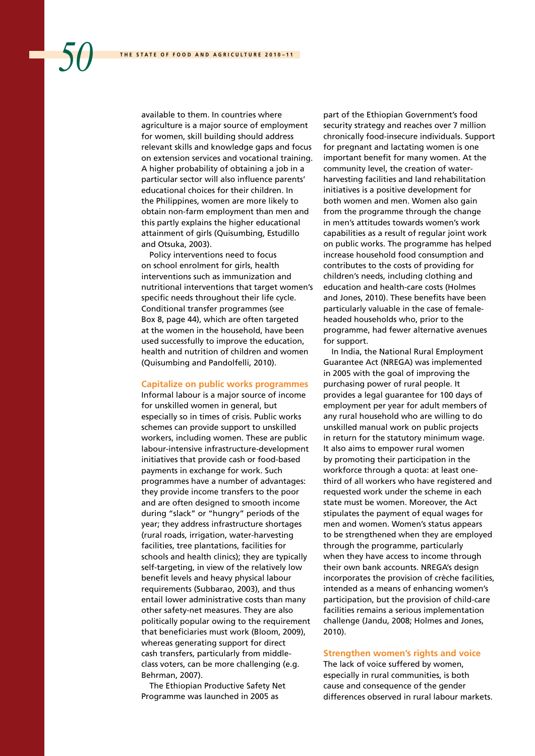available to them. In countries where agriculture is a major source of employment for women, skill building should address relevant skills and knowledge gaps and focus on extension services and vocational training. A higher probability of obtaining a job in a particular sector will also influence parents' educational choices for their children. In the Philippines, women are more likely to obtain non-farm employment than men and this partly explains the higher educational attainment of girls (Quisumbing, Estudillo and Otsuka, 2003).

Policy interventions need to focus on school enrolment for girls, health interventions such as immunization and nutritional interventions that target women's specific needs throughout their life cycle. Conditional transfer programmes (see Box 8, page 44), which are often targeted at the women in the household, have been used successfully to improve the education, health and nutrition of children and women (Quisumbing and Pandolfelli, 2010).

#### **Capitalize on public works programmes**

Informal labour is a major source of income for unskilled women in general, but especially so in times of crisis. Public works schemes can provide support to unskilled workers, including women. These are public labour-intensive infrastructure-development initiatives that provide cash or food-based payments in exchange for work. Such programmes have a number of advantages: they provide income transfers to the poor and are often designed to smooth income during "slack" or "hungry" periods of the year; they address infrastructure shortages (rural roads, irrigation, water-harvesting facilities, tree plantations, facilities for schools and health clinics); they are typically self-targeting, in view of the relatively low benefit levels and heavy physical labour requirements (Subbarao, 2003), and thus entail lower administrative costs than many other safety-net measures. They are also politically popular owing to the requirement that beneficiaries must work (Bloom, 2009), whereas generating support for direct cash transfers, particularly from middleclass voters, can be more challenging (e.g. Behrman, 2007).

The Ethiopian Productive Safety Net Programme was launched in 2005 as

part of the Ethiopian Government's food security strategy and reaches over 7 million chronically food-insecure individuals. Support for pregnant and lactating women is one important benefit for many women. At the community level, the creation of waterharvesting facilities and land rehabilitation initiatives is a positive development for both women and men. Women also gain from the programme through the change in men's attitudes towards women's work capabilities as a result of regular joint work on public works. The programme has helped increase household food consumption and contributes to the costs of providing for children's needs, including clothing and education and health-care costs (Holmes and Jones, 2010). These benefits have been particularly valuable in the case of femaleheaded households who, prior to the programme, had fewer alternative avenues for support.

In India, the National Rural Employment Guarantee Act (NREGA) was implemented in 2005 with the goal of improving the purchasing power of rural people. It provides a legal guarantee for 100 days of employment per year for adult members of any rural household who are willing to do unskilled manual work on public projects in return for the statutory minimum wage. It also aims to empower rural women by promoting their participation in the workforce through a quota: at least onethird of all workers who have registered and requested work under the scheme in each state must be women. Moreover, the Act stipulates the payment of equal wages for men and women. Women's status appears to be strengthened when they are employed through the programme, particularly when they have access to income through their own bank accounts. NREGA's design incorporates the provision of crèche facilities, intended as a means of enhancing women's participation, but the provision of child-care facilities remains a serious implementation challenge (Jandu, 2008; Holmes and Jones, 2010).

## **Strengthen women's rights and voice**

The lack of voice suffered by women, especially in rural communities, is both cause and consequence of the gender differences observed in rural labour markets.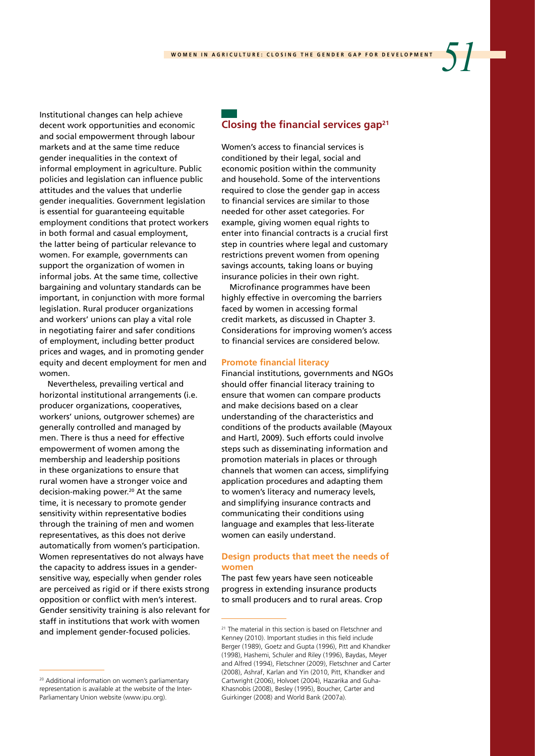Institutional changes can help achieve decent work opportunities and economic and social empowerment through labour markets and at the same time reduce gender inequalities in the context of informal employment in agriculture. Public policies and legislation can influence public attitudes and the values that underlie gender inequalities. Government legislation is essential for guaranteeing equitable employment conditions that protect workers in both formal and casual employment, the latter being of particular relevance to women. For example, governments can support the organization of women in informal jobs. At the same time, collective bargaining and voluntary standards can be important, in conjunction with more formal legislation. Rural producer organizations and workers' unions can play a vital role in negotiating fairer and safer conditions of employment, including better product prices and wages, and in promoting gender equity and decent employment for men and women.

Nevertheless, prevailing vertical and horizontal institutional arrangements (i.e. producer organizations, cooperatives, workers' unions, outgrower schemes) are generally controlled and managed by men. There is thus a need for effective empowerment of women among the membership and leadership positions in these organizations to ensure that rural women have a stronger voice and decision-making power.<sup>20</sup> At the same time, it is necessary to promote gender sensitivity within representative bodies through the training of men and women representatives, as this does not derive automatically from women's participation. Women representatives do not always have the capacity to address issues in a gendersensitive way, especially when gender roles are perceived as rigid or if there exists strong opposition or conflict with men's interest. Gender sensitivity training is also relevant for staff in institutions that work with women and implement gender-focused policies.

# **Closing the financial services gap21**

Women's access to financial services is conditioned by their legal, social and economic position within the community and household. Some of the interventions required to close the gender gap in access to financial services are similar to those needed for other asset categories. For example, giving women equal rights to enter into financial contracts is a crucial first step in countries where legal and customary restrictions prevent women from opening savings accounts, taking loans or buying insurance policies in their own right.

Microfinance programmes have been highly effective in overcoming the barriers faced by women in accessing formal credit markets, as discussed in Chapter 3. Considerations for improving women's access to financial services are considered below.

#### **Promote financial literacy**

Financial institutions, governments and NGOs should offer financial literacy training to ensure that women can compare products and make decisions based on a clear understanding of the characteristics and conditions of the products available (Mayoux and Hartl, 2009). Such efforts could involve steps such as disseminating information and promotion materials in places or through channels that women can access, simplifying application procedures and adapting them to women's literacy and numeracy levels, and simplifying insurance contracts and communicating their conditions using language and examples that less-literate women can easily understand.

#### **Design products that meet the needs of women**

The past few years have seen noticeable progress in extending insurance products to small producers and to rural areas. Crop

<sup>20</sup> Additional information on women's parliamentary representation is available at the website of the Inter-Parliamentary Union website (www.ipu.org).

<sup>&</sup>lt;sup>21</sup> The material in this section is based on Fletschner and Kenney (2010). Important studies in this field include Berger (1989), Goetz and Gupta (1996), Pitt and Khandker (1998), Hashemi, Schuler and Riley (1996), Baydas, Meyer and Alfred (1994), Fletschner (2009), Fletschner and Carter (2008), Ashraf, Karlan and Yin (2010, Pitt, Khandker and Cartwright (2006), Holvoet (2004), Hazarika and Guha-Khasnobis (2008), Besley (1995), Boucher, Carter and Guirkinger (2008) and World Bank (2007a).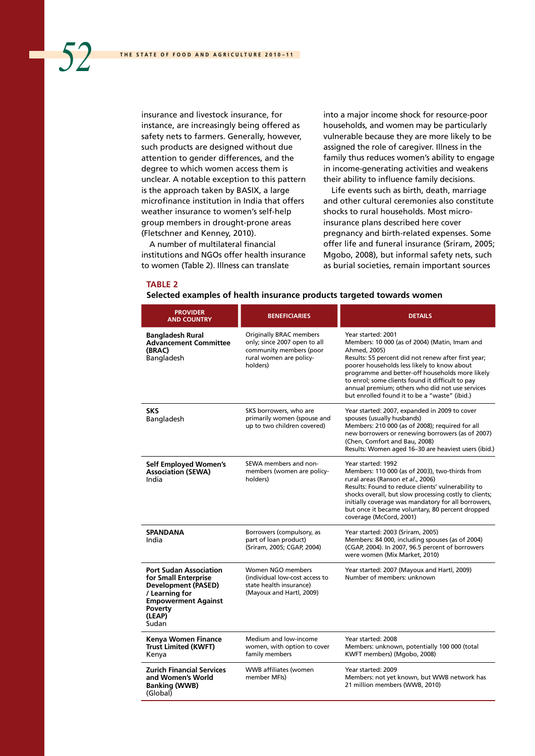insurance and livestock insurance, for instance, are increasingly being offered as safety nets to farmers. Generally, however, such products are designed without due attention to gender differences, and the degree to which women access them is unclear. A notable exception to this pattern is the approach taken by BASIX, a large microfinance institution in India that offers weather insurance to women's self-help group members in drought-prone areas (Fletschner and Kenney, 2010).

A number of multilateral financial institutions and NGOs offer health insurance to women (Table 2). Illness can translate

into a major income shock for resource-poor households, and women may be particularly vulnerable because they are more likely to be assigned the role of caregiver. Illness in the family thus reduces women's ability to engage in income-generating activities and weakens their ability to influence family decisions.

Life events such as birth, death, marriage and other cultural ceremonies also constitute shocks to rural households. Most microinsurance plans described here cover pregnancy and birth-related expenses. Some offer life and funeral insurance (Sriram, 2005; Mgobo, 2008), but informal safety nets, such as burial societies, remain important sources

#### **TABLE 2**

| <b>PROVIDER</b><br><b>AND COUNTRY</b>                                                                                                                             | <b>BENEFICIARIES</b>                                                                                                             | <b>DETAILS</b>                                                                                                                                                                                                                                                                                                                                                                                       |
|-------------------------------------------------------------------------------------------------------------------------------------------------------------------|----------------------------------------------------------------------------------------------------------------------------------|------------------------------------------------------------------------------------------------------------------------------------------------------------------------------------------------------------------------------------------------------------------------------------------------------------------------------------------------------------------------------------------------------|
| Bangladesh Rural<br><b>Advancement Committee</b><br>(BRAC)<br>Bangladesh                                                                                          | <b>Originally BRAC members</b><br>only; since 2007 open to all<br>community members (poor<br>rural women are policy-<br>holders) | Year started: 2001<br>Members: 10 000 (as of 2004) (Matin, Imam and<br>Ahmed, 2005)<br>Results: 55 percent did not renew after first year;<br>poorer households less likely to know about<br>programme and better-off households more likely<br>to enrol; some clients found it difficult to pay<br>annual premium; others who did not use services<br>but enrolled found it to be a "waste" (ibid.) |
| <b>SKS</b><br>Bangladesh                                                                                                                                          | SKS borrowers, who are<br>primarily women (spouse and<br>up to two children covered)                                             | Year started: 2007, expanded in 2009 to cover<br>spouses (usually husbands)<br>Members: 210 000 (as of 2008); required for all<br>new borrowers or renewing borrowers (as of 2007)<br>(Chen, Comfort and Bau, 2008)<br>Results: Women aged 16-30 are heaviest users (ibid.)                                                                                                                          |
| <b>Self Employed Women's</b><br><b>Association (SEWA)</b><br>India                                                                                                | SEWA members and non-<br>members (women are policy-<br>holders)                                                                  | Year started: 1992<br>Members: 110 000 (as of 2003), two-thirds from<br>rural areas (Ranson et al., 2006)<br>Results: Found to reduce clients' vulnerability to<br>shocks overall, but slow processing costly to clients;<br>initially coverage was mandatory for all borrowers,<br>but once it became voluntary, 80 percent dropped<br>coverage (McCord, 2001)                                      |
| <b>SPANDANA</b><br>India                                                                                                                                          | Borrowers (compulsory, as<br>part of loan product)<br>(Sriram, 2005; CGAP, 2004)                                                 | Year started: 2003 (Sriram, 2005)<br>Members: 84 000, including spouses (as of 2004)<br>(CGAP, 2004). In 2007, 96.5 percent of borrowers<br>were women (Mix Market, 2010)                                                                                                                                                                                                                            |
| <b>Port Sudan Association</b><br>for Small Enterprise<br><b>Development (PASED)</b><br>/ Learning for<br><b>Empowerment Against</b><br>Poverty<br>(LEAP)<br>Sudan | Women NGO members<br>(individual low-cost access to<br>state health insurance)<br>(Mayoux and Hartl, 2009)                       | Year started: 2007 (Mayoux and Hartl, 2009)<br>Number of members: unknown                                                                                                                                                                                                                                                                                                                            |
| Kenya Women Finance<br><b>Trust Limited (KWFT)</b><br>Kenya                                                                                                       | Medium and low-income<br>women, with option to cover<br>family members                                                           | Year started: 2008<br>Members: unknown, potentially 100 000 (total<br>KWFT members) (Mgobo, 2008)                                                                                                                                                                                                                                                                                                    |
| <b>Zurich Financial Services</b><br>and Women's World<br><b>Banking (WWB)</b><br>(Global)                                                                         | WWB affiliates (women<br>member MFIs)                                                                                            | Year started: 2009<br>Members: not yet known, but WWB network has<br>21 million members (WWB, 2010)                                                                                                                                                                                                                                                                                                  |

## **Selected examples of health insurance products targeted towards women**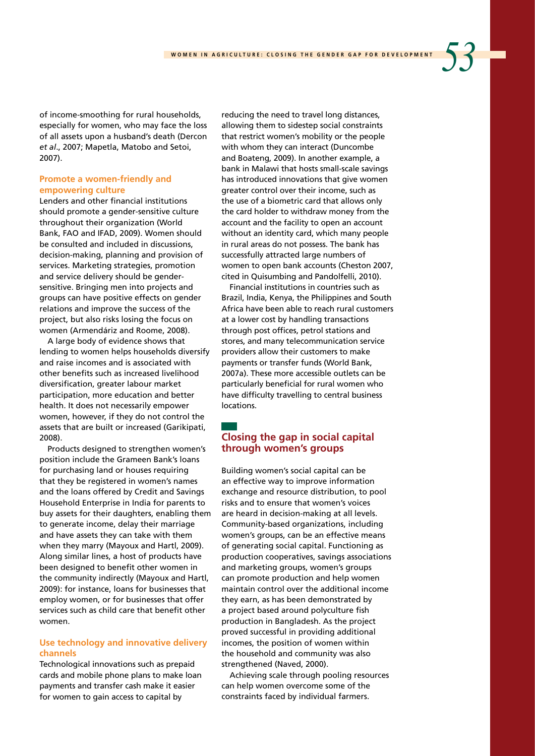of income-smoothing for rural households, especially for women, who may face the loss of all assets upon a husband's death (Dercon *et al*., 2007; Mapetla, Matobo and Setoi, 2007).

# **Promote a women-friendly and empowering culture**

Lenders and other financial institutions should promote a gender-sensitive culture throughout their organization (World Bank, FAO and IFAD, 2009). Women should be consulted and included in discussions, decision-making, planning and provision of services. Marketing strategies, promotion and service delivery should be gendersensitive. Bringing men into projects and groups can have positive effects on gender relations and improve the success of the project, but also risks losing the focus on women (Armendáriz and Roome, 2008).

A large body of evidence shows that lending to women helps households diversify and raise incomes and is associated with other benefits such as increased livelihood diversification, greater labour market participation, more education and better health. It does not necessarily empower women, however, if they do not control the assets that are built or increased (Garikipati, 2008).

Products designed to strengthen women's position include the Grameen Bank's loans for purchasing land or houses requiring that they be registered in women's names and the loans offered by Credit and Savings Household Enterprise in India for parents to buy assets for their daughters, enabling them to generate income, delay their marriage and have assets they can take with them when they marry (Mayoux and Hartl, 2009). Along similar lines, a host of products have been designed to benefit other women in the community indirectly (Mayoux and Hartl, 2009): for instance, loans for businesses that employ women, or for businesses that offer services such as child care that benefit other women.

# **Use technology and innovative delivery channels**

Technological innovations such as prepaid cards and mobile phone plans to make loan payments and transfer cash make it easier for women to gain access to capital by

reducing the need to travel long distances, allowing them to sidestep social constraints that restrict women's mobility or the people with whom they can interact (Duncombe and Boateng, 2009). In another example, a bank in Malawi that hosts small-scale savings has introduced innovations that give women greater control over their income, such as the use of a biometric card that allows only the card holder to withdraw money from the account and the facility to open an account without an identity card, which many people in rural areas do not possess. The bank has successfully attracted large numbers of women to open bank accounts (Cheston 2007, cited in Quisumbing and Pandolfelli, 2010).

Financial institutions in countries such as Brazil, India, Kenya, the Philippines and South Africa have been able to reach rural customers at a lower cost by handling transactions through post offices, petrol stations and stores, and many telecommunication service providers allow their customers to make payments or transfer funds (World Bank, 2007a). These more accessible outlets can be particularly beneficial for rural women who have difficulty travelling to central business **locations** 

# **Closing the gap in social capital through women's groups**

Building women's social capital can be an effective way to improve information exchange and resource distribution, to pool risks and to ensure that women's voices are heard in decision-making at all levels. Community-based organizations, including women's groups, can be an effective means of generating social capital. Functioning as production cooperatives, savings associations and marketing groups, women's groups can promote production and help women maintain control over the additional income they earn, as has been demonstrated by a project based around polyculture fish production in Bangladesh. As the project proved successful in providing additional incomes, the position of women within the household and community was also strengthened (Naved, 2000).

Achieving scale through pooling resources can help women overcome some of the constraints faced by individual farmers.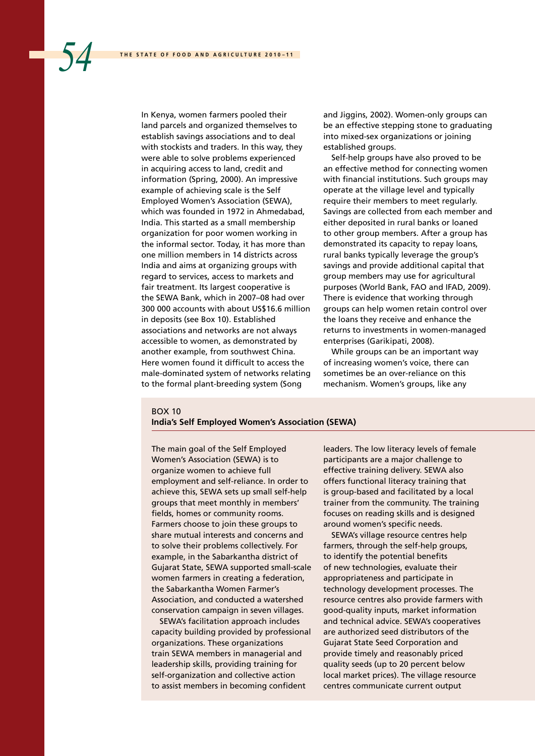In Kenya, women farmers pooled their land parcels and organized themselves to establish savings associations and to deal with stockists and traders. In this way, they were able to solve problems experienced in acquiring access to land, credit and information (Spring, 2000). An impressive example of achieving scale is the Self Employed Women's Association (SEWA), which was founded in 1972 in Ahmedabad, India. This started as a small membership organization for poor women working in the informal sector. Today, it has more than one million members in 14 districts across India and aims at organizing groups with regard to services, access to markets and fair treatment. Its largest cooperative is the SEWA Bank, which in 2007–08 had over 300 000 accounts with about US\$16.6 million in deposits (see Box 10). Established associations and networks are not always accessible to women, as demonstrated by another example, from southwest China. Here women found it difficult to access the male-dominated system of networks relating to the formal plant-breeding system (Song

and Jiggins, 2002). Women-only groups can be an effective stepping stone to graduating into mixed-sex organizations or joining established groups.

Self-help groups have also proved to be an effective method for connecting women with financial institutions. Such groups may operate at the village level and typically require their members to meet regularly. Savings are collected from each member and either deposited in rural banks or loaned to other group members. After a group has demonstrated its capacity to repay loans, rural banks typically leverage the group's savings and provide additional capital that group members may use for agricultural purposes (World Bank, FAO and IFAD, 2009). There is evidence that working through groups can help women retain control over the loans they receive and enhance the returns to investments in women-managed enterprises (Garikipati, 2008).

While groups can be an important way of increasing women's voice, there can sometimes be an over-reliance on this mechanism. Women's groups, like any

## $ROX$  10

#### **India's Self Employed Women's Association (SEWA)**

The main goal of the Self Employed Women's Association (SEWA) is to organize women to achieve full employment and self-reliance. In order to achieve this, SEWA sets up small self-help groups that meet monthly in members' fields, homes or community rooms. Farmers choose to join these groups to share mutual interests and concerns and to solve their problems collectively. For example, in the Sabarkantha district of Gujarat State, SEWA supported small-scale women farmers in creating a federation, the Sabarkantha Women Farmer's Association, and conducted a watershed conservation campaign in seven villages.

SEWA's facilitation approach includes capacity building provided by professional organizations. These organizations train SEWA members in managerial and leadership skills, providing training for self-organization and collective action to assist members in becoming confident

leaders. The low literacy levels of female participants are a major challenge to effective training delivery. SEWA also offers functional literacy training that is group-based and facilitated by a local trainer from the community. The training focuses on reading skills and is designed around women's specific needs.

SEWA's village resource centres help farmers, through the self-help groups, to identify the potential benefits of new technologies, evaluate their appropriateness and participate in technology development processes. The resource centres also provide farmers with good-quality inputs, market information and technical advice. SEWA's cooperatives are authorized seed distributors of the Gujarat State Seed Corporation and provide timely and reasonably priced quality seeds (up to 20 percent below local market prices). The village resource centres communicate current output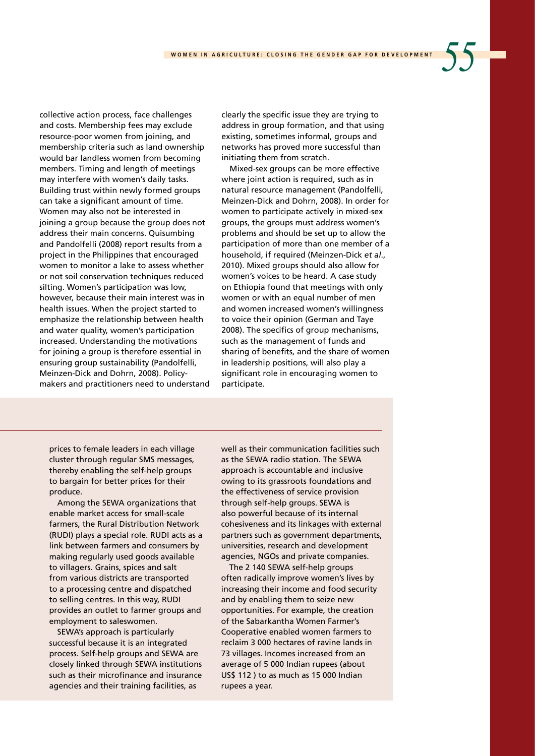collective action process, face challenges and costs. Membership fees may exclude resource-poor women from joining, and membership criteria such as land ownership would bar landless women from becoming members. Timing and length of meetings may interfere with women's daily tasks. Building trust within newly formed groups can take a significant amount of time. Women may also not be interested in joining a group because the group does not address their main concerns. Quisumbing and Pandolfelli (2008) report results from a project in the Philippines that encouraged women to monitor a lake to assess whether or not soil conservation techniques reduced silting. Women's participation was low, however, because their main interest was in health issues. When the project started to emphasize the relationship between health and water quality, women's participation increased. Understanding the motivations for joining a group is therefore essential in ensuring group sustainability (Pandolfelli, Meinzen-Dick and Dohrn, 2008). Policymakers and practitioners need to understand clearly the specific issue they are trying to address in group formation, and that using existing, sometimes informal, groups and networks has proved more successful than initiating them from scratch.

Mixed-sex groups can be more effective where joint action is required, such as in natural resource management (Pandolfelli, Meinzen-Dick and Dohrn, 2008). In order for women to participate actively in mixed-sex groups, the groups must address women's problems and should be set up to allow the participation of more than one member of a household, if required (Meinzen-Dick *et al*., 2010). Mixed groups should also allow for women's voices to be heard. A case study on Ethiopia found that meetings with only women or with an equal number of men and women increased women's willingness to voice their opinion (German and Taye 2008). The specifics of group mechanisms, such as the management of funds and sharing of benefits, and the share of women in leadership positions, will also play a significant role in encouraging women to participate.

prices to female leaders in each village cluster through regular SMS messages, thereby enabling the self-help groups to bargain for better prices for their produce.

Among the SEWA organizations that enable market access for small-scale farmers, the Rural Distribution Network (RUDI) plays a special role. RUDI acts as a link between farmers and consumers by making regularly used goods available to villagers. Grains, spices and salt from various districts are transported to a processing centre and dispatched to selling centres. In this way, RUDI provides an outlet to farmer groups and employment to saleswomen.

SEWA's approach is particularly successful because it is an integrated process. Self-help groups and SEWA are closely linked through SEWA institutions such as their microfinance and insurance agencies and their training facilities, as

well as their communication facilities such as the SEWA radio station. The SEWA approach is accountable and inclusive owing to its grassroots foundations and the effectiveness of service provision through self-help groups. SEWA is also powerful because of its internal cohesiveness and its linkages with external partners such as government departments, universities, research and development agencies, NGOs and private companies.

The 2 140 SEWA self-help groups often radically improve women's lives by increasing their income and food security and by enabling them to seize new opportunities. For example, the creation of the Sabarkantha Women Farmer's Cooperative enabled women farmers to reclaim 3 000 hectares of ravine lands in 73 villages. Incomes increased from an average of 5 000 Indian rupees (about US\$ 112 ) to as much as 15 000 Indian rupees a year.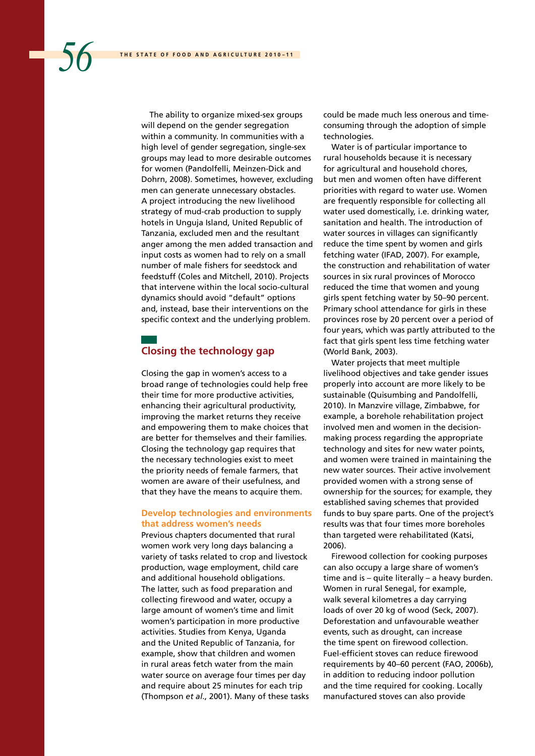The ability to organize mixed-sex groups will depend on the gender segregation within a community. In communities with a high level of gender segregation, single-sex groups may lead to more desirable outcomes for women (Pandolfelli, Meinzen-Dick and Dohrn, 2008). Sometimes, however, excluding men can generate unnecessary obstacles. A project introducing the new livelihood strategy of mud-crab production to supply hotels in Unguja Island, United Republic of Tanzania, excluded men and the resultant anger among the men added transaction and input costs as women had to rely on a small number of male fishers for seedstock and feedstuff (Coles and Mitchell, 2010). Projects that intervene within the local socio-cultural dynamics should avoid "default" options and, instead, base their interventions on the specific context and the underlying problem.

# **Closing the technology gap**

Closing the gap in women's access to a broad range of technologies could help free their time for more productive activities, enhancing their agricultural productivity, improving the market returns they receive and empowering them to make choices that are better for themselves and their families. Closing the technology gap requires that the necessary technologies exist to meet the priority needs of female farmers, that women are aware of their usefulness, and that they have the means to acquire them.

## **Develop technologies and environments that address women's needs**

Previous chapters documented that rural women work very long days balancing a variety of tasks related to crop and livestock production, wage employment, child care and additional household obligations. The latter, such as food preparation and collecting firewood and water, occupy a large amount of women's time and limit women's participation in more productive activities. Studies from Kenya, Uganda and the United Republic of Tanzania, for example, show that children and women in rural areas fetch water from the main water source on average four times per day and require about 25 minutes for each trip (Thompson *et al*., 2001). Many of these tasks could be made much less onerous and timeconsuming through the adoption of simple technologies.

Water is of particular importance to rural households because it is necessary for agricultural and household chores, but men and women often have different priorities with regard to water use. Women are frequently responsible for collecting all water used domestically, i.e. drinking water, sanitation and health. The introduction of water sources in villages can significantly reduce the time spent by women and girls fetching water (IFAD, 2007). For example, the construction and rehabilitation of water sources in six rural provinces of Morocco reduced the time that women and young girls spent fetching water by 50–90 percent. Primary school attendance for girls in these provinces rose by 20 percent over a period of four years, which was partly attributed to the fact that girls spent less time fetching water (World Bank, 2003).

Water projects that meet multiple livelihood objectives and take gender issues properly into account are more likely to be sustainable (Quisumbing and Pandolfelli, 2010). In Manzvire village, Zimbabwe, for example, a borehole rehabilitation project involved men and women in the decisionmaking process regarding the appropriate technology and sites for new water points, and women were trained in maintaining the new water sources. Their active involvement provided women with a strong sense of ownership for the sources; for example, they established saving schemes that provided funds to buy spare parts. One of the project's results was that four times more boreholes than targeted were rehabilitated (Katsi, 2006).

Firewood collection for cooking purposes can also occupy a large share of women's time and is – quite literally – a heavy burden. Women in rural Senegal, for example, walk several kilometres a day carrying loads of over 20 kg of wood (Seck, 2007). Deforestation and unfavourable weather events, such as drought, can increase the time spent on firewood collection. Fuel-efficient stoves can reduce firewood requirements by 40–60 percent (FAO, 2006b), in addition to reducing indoor pollution and the time required for cooking. Locally manufactured stoves can also provide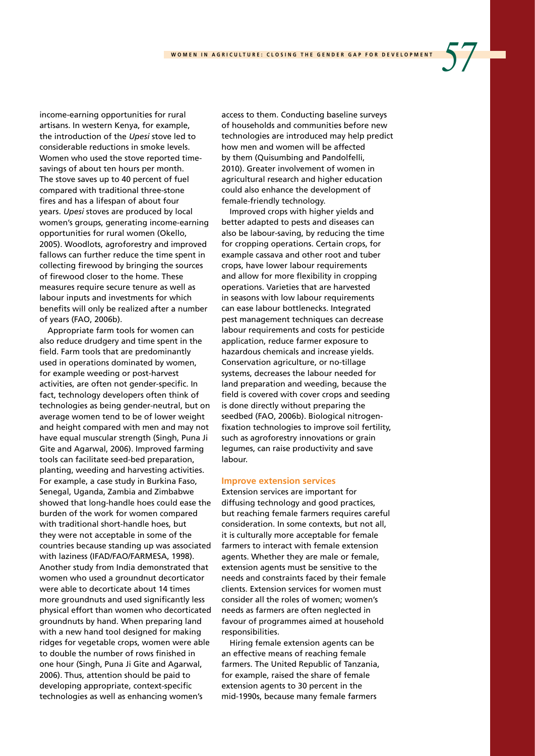income-earning opportunities for rural artisans. In western Kenya, for example, the introduction of the *Upesi* stove led to considerable reductions in smoke levels. Women who used the stove reported timesavings of about ten hours per month. The stove saves up to 40 percent of fuel compared with traditional three-stone fires and has a lifespan of about four years. *Upesi* stoves are produced by local women's groups, generating income-earning opportunities for rural women (Okello, 2005). Woodlots, agroforestry and improved fallows can further reduce the time spent in collecting firewood by bringing the sources of firewood closer to the home. These measures require secure tenure as well as labour inputs and investments for which benefits will only be realized after a number of years (FAO, 2006b).

Appropriate farm tools for women can also reduce drudgery and time spent in the field. Farm tools that are predominantly used in operations dominated by women, for example weeding or post-harvest activities, are often not gender-specific. In fact, technology developers often think of technologies as being gender-neutral, but on average women tend to be of lower weight and height compared with men and may not have equal muscular strength (Singh, Puna Ji Gite and Agarwal, 2006). Improved farming tools can facilitate seed-bed preparation, planting, weeding and harvesting activities. For example, a case study in Burkina Faso, Senegal, Uganda, Zambia and Zimbabwe showed that long-handle hoes could ease the burden of the work for women compared with traditional short-handle hoes, but they were not acceptable in some of the countries because standing up was associated with laziness (IFAD/FAO/FARMESA, 1998). Another study from India demonstrated that women who used a groundnut decorticator were able to decorticate about 14 times more groundnuts and used significantly less physical effort than women who decorticated groundnuts by hand. When preparing land with a new hand tool designed for making ridges for vegetable crops, women were able to double the number of rows finished in one hour (Singh, Puna Ji Gite and Agarwal, 2006). Thus, attention should be paid to developing appropriate, context-specific technologies as well as enhancing women's

access to them. Conducting baseline surveys of households and communities before new technologies are introduced may help predict how men and women will be affected by them (Quisumbing and Pandolfelli, 2010). Greater involvement of women in agricultural research and higher education could also enhance the development of female-friendly technology.

Improved crops with higher yields and better adapted to pests and diseases can also be labour-saving, by reducing the time for cropping operations. Certain crops, for example cassava and other root and tuber crops, have lower labour requirements and allow for more flexibility in cropping operations. Varieties that are harvested in seasons with low labour requirements can ease labour bottlenecks. Integrated pest management techniques can decrease labour requirements and costs for pesticide application, reduce farmer exposure to hazardous chemicals and increase yields. Conservation agriculture, or no-tillage systems, decreases the labour needed for land preparation and weeding, because the field is covered with cover crops and seeding is done directly without preparing the seedbed (FAO, 2006b). Biological nitrogenfixation technologies to improve soil fertility, such as agroforestry innovations or grain legumes, can raise productivity and save labour.

#### **Improve extension services**

Extension services are important for diffusing technology and good practices, but reaching female farmers requires careful consideration. In some contexts, but not all, it is culturally more acceptable for female farmers to interact with female extension agents. Whether they are male or female, extension agents must be sensitive to the needs and constraints faced by their female clients. Extension services for women must consider all the roles of women; women's needs as farmers are often neglected in favour of programmes aimed at household responsibilities.

Hiring female extension agents can be an effective means of reaching female farmers. The United Republic of Tanzania, for example, raised the share of female extension agents to 30 percent in the mid-1990s, because many female farmers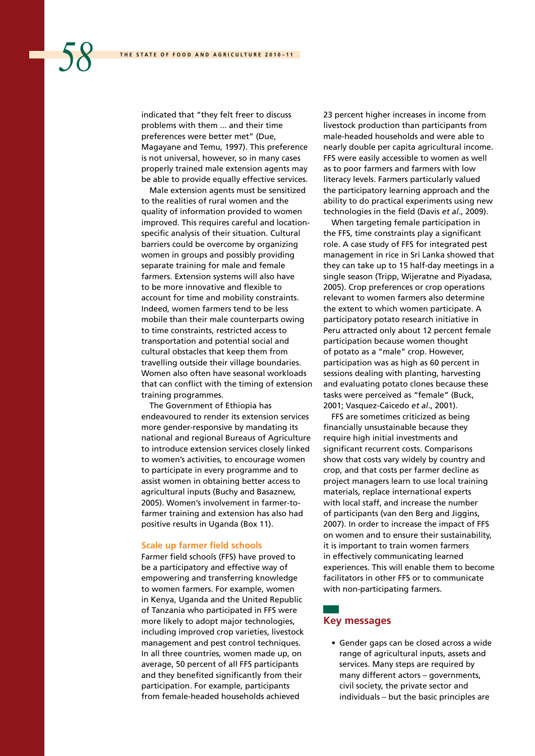indicated that "they felt freer to discuss problems with them ... and their time preferences were better met" (Due, Magayane and Temu, 1997). This preference is not universal, however, so in many cases properly trained male extension agents may be able to provide equally effective services.

Male extension agents must be sensitized to the realities of rural women and the quality of information provided to women improved. This requires careful and locationspecific analysis of their situation. Cultural barriers could be overcome by organizing women in groups and possibly providing separate training for male and female farmers. Extension systems will also have to be more innovative and flexible to account for time and mobility constraints. Indeed, women farmers tend to be less mobile than their male counterparts owing to time constraints, restricted access to transportation and potential social and cultural obstacles that keep them from travelling outside their village boundaries. Women also often have seasonal workloads that can conflict with the timing of extension training programmes.

The Government of Ethiopia has endeavoured to render its extension services more gender-responsive by mandating its national and regional Bureaus of Agriculture to introduce extension services closely linked to women's activities, to encourage women to participate in every programme and to assist women in obtaining better access to agricultural inputs (Buchy and Basaznew, 2005). Women's involvement in farmer-tofarmer training and extension has also had positive results in Uganda (Box 11).

#### **Scale up farmer field schools**

Farmer field schools (FFS) have proved to be a participatory and effective way of empowering and transferring knowledge to women farmers. For example, women in Kenya, Uganda and the United Republic of Tanzania who participated in FFS were more likely to adopt major technologies, including improved crop varieties, livestock management and pest control techniques. In all three countries, women made up, on average, 50 percent of all FFS participants and they benefited significantly from their participation. For example, participants from female-headed households achieved

23 percent higher increases in income from livestock production than participants from male-headed households and were able to nearly double per capita agricultural income. FFS were easily accessible to women as well as to poor farmers and farmers with low literacy levels. Farmers particularly valued the participatory learning approach and the ability to do practical experiments using new technologies in the field (Davis *et al*., 2009).

When targeting female participation in the FFS, time constraints play a significant role. A case study of FFS for integrated pest management in rice in Sri Lanka showed that they can take up to 15 half-day meetings in a single season (Tripp, Wijeratne and Piyadasa, 2005). Crop preferences or crop operations relevant to women farmers also determine the extent to which women participate. A participatory potato research initiative in Peru attracted only about 12 percent female participation because women thought of potato as a "male" crop. However, participation was as high as 60 percent in sessions dealing with planting, harvesting and evaluating potato clones because these tasks were perceived as "female" (Buck, 2001; Vasquez-Caicedo *et al*., 2001).

FFS are sometimes criticized as being financially unsustainable because they require high initial investments and significant recurrent costs. Comparisons show that costs vary widely by country and crop, and that costs per farmer decline as project managers learn to use local training materials, replace international experts with local staff, and increase the number of participants (van den Berg and Jiggins, 2007). In order to increase the impact of FFS on women and to ensure their sustainability, it is important to train women farmers in effectively communicating learned experiences. This will enable them to become facilitators in other FFS or to communicate with non-participating farmers.

# **Key messages**

• Gender gaps can be closed across a wide range of agricultural inputs, assets and services. Many steps are required by many different actors – governments, civil society, the private sector and individuals – but the basic principles are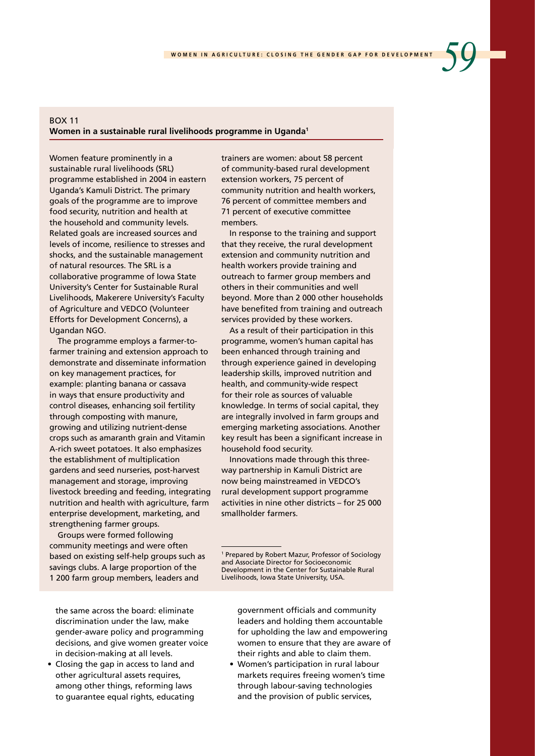# BOX 11 **Women in a sustainable rural livelihoods programme in Uganda1**

Women feature prominently in a sustainable rural livelihoods (SRL) programme established in 2004 in eastern Uganda's Kamuli District. The primary goals of the programme are to improve food security, nutrition and health at the household and community levels. Related goals are increased sources and levels of income, resilience to stresses and shocks, and the sustainable management of natural resources. The SRL is a collaborative programme of Iowa State University's Center for Sustainable Rural Livelihoods, Makerere University's Faculty of Agriculture and VEDCO (Volunteer Efforts for Development Concerns), a Ugandan NGO.

The programme employs a farmer-tofarmer training and extension approach to demonstrate and disseminate information on key management practices, for example: planting banana or cassava in ways that ensure productivity and control diseases, enhancing soil fertility through composting with manure, growing and utilizing nutrient-dense crops such as amaranth grain and Vitamin A-rich sweet potatoes. It also emphasizes the establishment of multiplication gardens and seed nurseries, post-harvest management and storage, improving livestock breeding and feeding, integrating nutrition and health with agriculture, farm enterprise development, marketing, and strengthening farmer groups.

Groups were formed following community meetings and were often based on existing self-help groups such as savings clubs. A large proportion of the 1 200 farm group members, leaders and

the same across the board: eliminate discrimination under the law, make gender-aware policy and programming decisions, and give women greater voice in decision-making at all levels.

• Closing the gap in access to land and other agricultural assets requires, among other things, reforming laws to guarantee equal rights, educating

trainers are women: about 58 percent of community-based rural development extension workers, 75 percent of community nutrition and health workers, 76 percent of committee members and 71 percent of executive committee members.

In response to the training and support that they receive, the rural development extension and community nutrition and health workers provide training and outreach to farmer group members and others in their communities and well beyond. More than 2 000 other households have benefited from training and outreach services provided by these workers.

As a result of their participation in this programme, women's human capital has been enhanced through training and through experience gained in developing leadership skills, improved nutrition and health, and community-wide respect for their role as sources of valuable knowledge. In terms of social capital, they are integrally involved in farm groups and emerging marketing associations. Another key result has been a significant increase in household food security.

Innovations made through this threeway partnership in Kamuli District are now being mainstreamed in VEDCO's rural development support programme activities in nine other districts – for 25 000 smallholder farmers.

government officials and community leaders and holding them accountable for upholding the law and empowering women to ensure that they are aware of their rights and able to claim them.

• Women's participation in rural labour markets requires freeing women's time through labour-saving technologies and the provision of public services,

<sup>1</sup> Prepared by Robert Mazur, Professor of Sociology and Associate Director for Socioeconomic Development in the Center for Sustainable Rural Livelihoods, Iowa State University, USA.